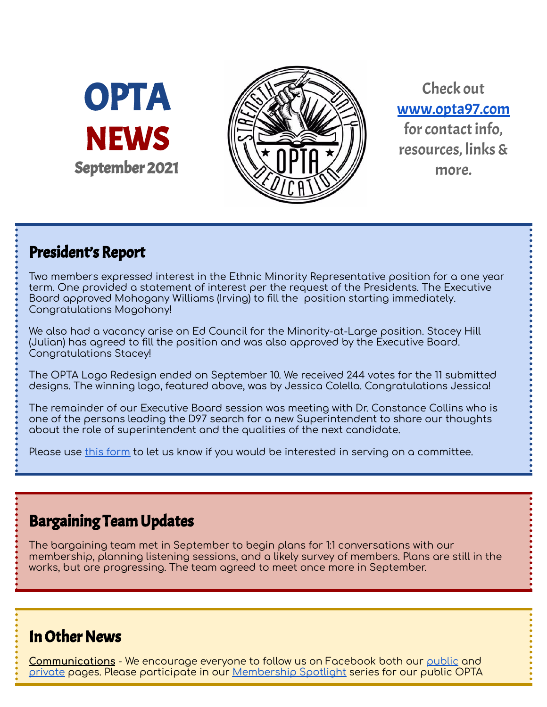OPTA **NEWS** September 2021



Check out [www.opta97.com](http://www.opta97.com) for contact info. resources, links& more.

## President's Report

Two members expressed interest in the Ethnic Minority Representative position for a one year term. One provided a statement of interest per the request of the Presidents. The Executive Board approved Mohogany Williams (Irving) to fill the position starting immediately. Congratulations Mogohony!

We also had a vacancy arise on Ed Council for the Minority-at-Large position. Stacey Hill (Julian) has agreed to fill the position and was also approved by the Executive Board. Congratulations Stacey!

The OPTA Logo Redesign ended on September 10. We received 244 votes for the 11 submitted designs. The winning logo, featured above, was by Jessica Colella. Congratulations Jessica!

The remainder of our Executive Board session was meeting with Dr. Constance Collins who is one of the persons leading the D97 search for a new Superintendent to share our thoughts about the role of superintendent and the qualities of the next candidate.

Please use this [form](https://forms.gle/PWNLZLvVpkbKZL8p8) to let us know if you would be interested in serving on a committee.

## Bargaining Team Updates

The bargaining team met in September to begin plans for 1:1 conversations with our membership, planning listening sessions, and a likely survey of members. Plans are still in the works, but are progressing. The team agreed to meet once more in September.

## **In Other News**

**Communications** - We encourage everyone to follow us on Facebook both our [public](http://www.facebook.com/opta97) and [private](http://www.facebook.com/groups/opta97) pages. Please participate in our [Membership](https://forms.gle/PXZnxYkTKphX5mGi7) Spotlight series for our public OPTA